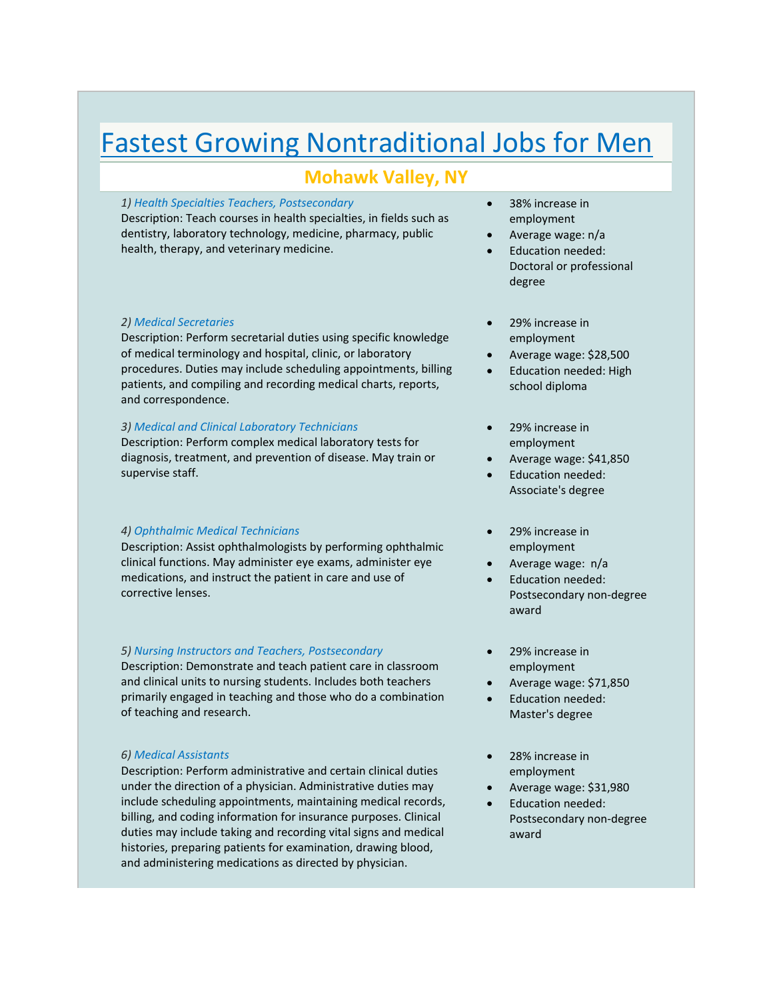# Fastest Growing Nontraditional Jobs for Men

# **Mohawk Valley, NY**

#### *1) Health Specialties Teachers, Postsecondary*

Description: Teach courses in health specialties, in fields such as dentistry, laboratory technology, medicine, pharmacy, public health, therapy, and veterinary medicine.

#### *2) Medical Secretaries*

Description: Perform secretarial duties using specific knowledge of medical terminology and hospital, clinic, or laboratory procedures. Duties may include scheduling appointments, billing patients, and compiling and recording medical charts, reports, and correspondence.

### *3) Medical and Clinical Laboratory Technicians*

Description: Perform complex medical laboratory tests for diagnosis, treatment, and prevention of disease. May train or supervise staff.

## *4) Ophthalmic Medical Technicians*

Description: Assist ophthalmologists by performing ophthalmic clinical functions. May administer eye exams, administer eye medications, and instruct the patient in care and use of corrective lenses.

#### *5) Nursing Instructors and Teachers, Postsecondary*

Description: Demonstrate and teach patient care in classroom and clinical units to nursing students. Includes both teachers primarily engaged in teaching and those who do a combination of teaching and research.

#### *6) Medical Assistants*

Description: Perform administrative and certain clinical duties under the direction of a physician. Administrative duties may include scheduling appointments, maintaining medical records, billing, and coding information for insurance purposes. Clinical duties may include taking and recording vital signs and medical histories, preparing patients for examination, drawing blood, and administering medications as directed by physician.

- 38% increase in employment
- Average wage: n/a
- Education needed: Doctoral or professional degree
- 29% increase in employment
- Average wage: \$28,500
- Education needed: High school diploma
- 29% increase in employment
- Average wage: \$41,850
- Education needed: Associate's degree
- 29% increase in employment
- Average wage: n/a
- Education needed: Postsecondary non‐degree award
- 29% increase in employment
- Average wage: \$71,850
- Education needed: Master's degree
- 28% increase in employment
- Average wage: \$31,980
- Education needed: Postsecondary non‐degree award